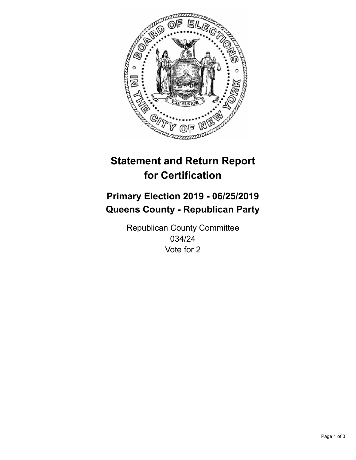

## **Statement and Return Report for Certification**

## **Primary Election 2019 - 06/25/2019 Queens County - Republican Party**

Republican County Committee 034/24 Vote for 2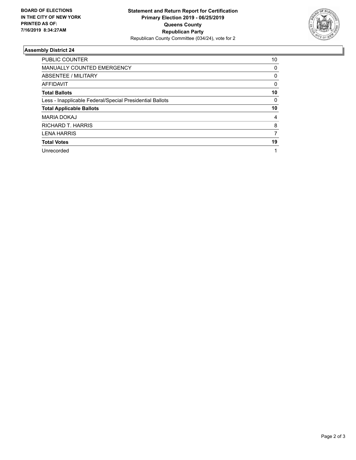

## **Assembly District 24**

| <b>PUBLIC COUNTER</b>                                    | 10 |
|----------------------------------------------------------|----|
| MANUALLY COUNTED EMERGENCY                               | 0  |
| ABSENTEE / MILITARY                                      | 0  |
| AFFIDAVIT                                                | 0  |
| <b>Total Ballots</b>                                     | 10 |
| Less - Inapplicable Federal/Special Presidential Ballots | 0  |
| <b>Total Applicable Ballots</b>                          | 10 |
| <b>MARIA DOKAJ</b>                                       | 4  |
| RICHARD T. HARRIS                                        | 8  |
| <b>LENA HARRIS</b>                                       | 7  |
| <b>Total Votes</b>                                       | 19 |
| Unrecorded                                               | 1  |